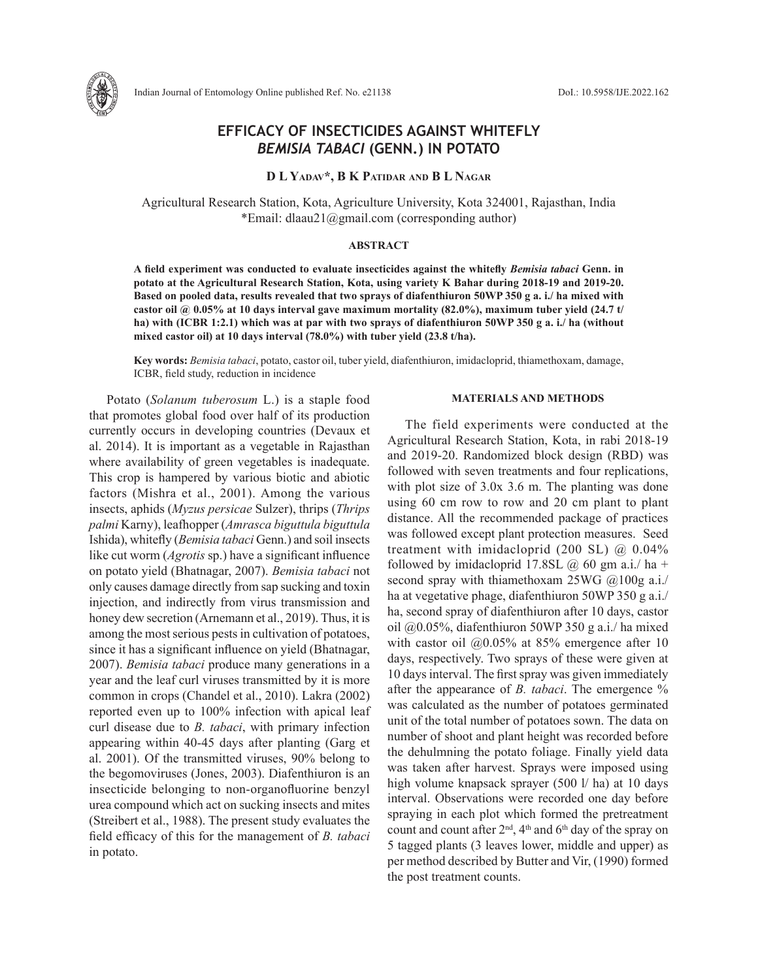

# **EFFICACY OF INSECTICIDES AGAINST WHITEFLY**  *BEMISIA TABACI* **(GENN.) IN POTATO**

**D L Yadav\*, B K Patidar and B L Nagar**

Agricultural Research Station, Kota, Agriculture University, Kota 324001, Rajasthan, India \*Email: dlaau21@gmail.com (corresponding author)

#### **ABSTRACT**

**A field experiment was conducted to evaluate insecticides against the whitefly** *Bemisia tabaci* **Genn. in potato at the Agricultural Research Station, Kota, using variety K Bahar during 2018-19 and 2019-20. Based on pooled data, results revealed that two sprays of diafenthiuron 50WP 350 g a. i./ ha mixed with castor oil @ 0.05% at 10 days interval gave maximum mortality (82.0%), maximum tuber yield (24.7 t/ ha) with (ICBR 1:2.1) which was at par with two sprays of diafenthiuron 50WP 350 g a. i./ ha (without mixed castor oil) at 10 days interval (78.0%) with tuber yield (23.8 t/ha).** 

**Key words:** *Bemisia tabaci*, potato, castor oil, tuber yield, diafenthiuron, imidacloprid, thiamethoxam, damage, ICBR, field study, reduction in incidence

Potato (*Solanum tuberosum* L.) is a staple food that promotes global food over half of its production currently occurs in developing countries (Devaux et al. 2014). It is important as a vegetable in Rajasthan where availability of green vegetables is inadequate. This crop is hampered by various biotic and abiotic factors (Mishra et al., 2001). Among the various insects, aphids (*Myzus persicae* Sulzer), thrips (*Thrips palmi* Karny), leafhopper (*Amrasca biguttula biguttula*  Ishida), whitefly (*Bemisia tabaci* Genn.) and soil insects like cut worm (*Agrotis* sp.) have a significant influence on potato yield (Bhatnagar, 2007). *Bemisia tabaci* not only causes damage directly from sap sucking and toxin injection, and indirectly from virus transmission and honey dew secretion (Arnemann et al., 2019). Thus, it is among the most serious pests in cultivation of potatoes, since it has a significant influence on yield (Bhatnagar, 2007). *Bemisia tabaci* produce many generations in a year and the leaf curl viruses transmitted by it is more common in crops (Chandel et al., 2010). Lakra (2002) reported even up to 100% infection with apical leaf curl disease due to *B. tabaci*, with primary infection appearing within 40-45 days after planting (Garg et al. 2001). Of the transmitted viruses, 90% belong to the begomoviruses (Jones, 2003). Diafenthiuron is an insecticide belonging to non-organofluorine benzyl urea compound which act on sucking insects and mites (Streibert et al., 1988). The present study evaluates the field efficacy of this for the management of *B. tabaci* in potato.

#### **MATERIALS AND METHODS**

The field experiments were conducted at the Agricultural Research Station, Kota, in rabi 2018-19 and 2019-20. Randomized block design (RBD) was followed with seven treatments and four replications, with plot size of 3.0x 3.6 m. The planting was done using 60 cm row to row and 20 cm plant to plant distance. All the recommended package of practices was followed except plant protection measures. Seed treatment with imidacloprid (200 SL)  $@$  0.04% followed by imidacloprid 17.8SL  $\omega$  60 gm a.i./ ha + second spray with thiamethoxam 25WG @100g a.i./ ha at vegetative phage, diafenthiuron 50WP 350 g a.i./ ha, second spray of diafenthiuron after 10 days, castor oil @0.05%, diafenthiuron 50WP 350 g a.i./ ha mixed with castor oil  $(20.05\%$  at 85% emergence after 10 days, respectively. Two sprays of these were given at 10 days interval. The first spray was given immediately after the appearance of *B. tabaci*. The emergence % was calculated as the number of potatoes germinated unit of the total number of potatoes sown. The data on number of shoot and plant height was recorded before the dehulmning the potato foliage. Finally yield data was taken after harvest. Sprays were imposed using high volume knapsack sprayer (500 l/ ha) at 10 days interval. Observations were recorded one day before spraying in each plot which formed the pretreatment count and count after  $2<sup>nd</sup>$ , 4<sup>th</sup> and 6<sup>th</sup> day of the spray on 5 tagged plants (3 leaves lower, middle and upper) as per method described by Butter and Vir, (1990) formed the post treatment counts.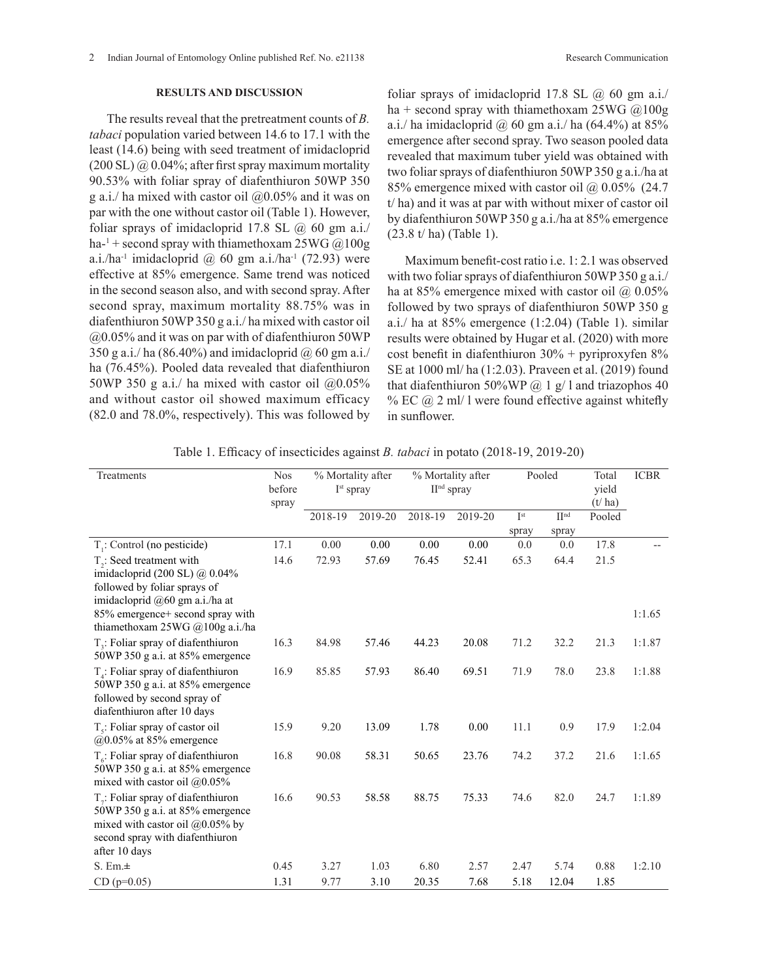2 Indian Journal of Entomology Online published Ref. No. e21138 Research Communication

### **RESULTS AND DISCUSSION**

The results reveal that the pretreatment counts of *B. tabaci* population varied between 14.6 to 17.1 with the least (14.6) being with seed treatment of imidacloprid  $(200 \text{ SL}) \omega$  0.04%; after first spray maximum mortality 90.53% with foliar spray of diafenthiuron 50WP 350 g a.i./ ha mixed with castor oil  $(20.05\%$  and it was on par with the one without castor oil (Table 1). However, foliar sprays of imidacloprid 17.8 SL  $\omega$  60 gm a.i./ ha-<sup>1</sup> + second spray with thiamethoxam  $25WG @ 100g$ a.i./ha<sup>-1</sup> imidacloprid  $\omega$  60 gm a.i./ha<sup>-1</sup> (72.93) were effective at 85% emergence. Same trend was noticed in the second season also, and with second spray. After second spray, maximum mortality 88.75% was in diafenthiuron 50WP 350 g a.i./ ha mixed with castor oil @0.05% and it was on par with of diafenthiuron 50WP 350 g a.i./ ha (86.40%) and imidacloprid  $\omega$  60 gm a.i./ ha (76.45%). Pooled data revealed that diafenthiuron 50WP 350 g a.i./ ha mixed with castor oil  $@0.05\%$ and without castor oil showed maximum efficacy (82.0 and 78.0%, respectively). This was followed by

foliar sprays of imidacloprid 17.8 SL  $(a)$  60 gm a.i./ ha + second spray with thiamethoxam  $25WG$  @100g a.i./ ha imidacloprid  $\omega$  60 gm a.i./ ha (64.4%) at 85% emergence after second spray. Two season pooled data revealed that maximum tuber yield was obtained with two foliar sprays of diafenthiuron 50WP 350 g a.i./ha at 85% emergence mixed with castor oil @ 0.05% (24.7 t/ ha) and it was at par with without mixer of castor oil by diafenthiuron 50WP 350 g a.i./ha at 85% emergence (23.8 t/ ha) (Table 1).

Maximum benefit-cost ratio i.e. 1: 2.1 was observed with two foliar sprays of diafenthiuron 50WP 350 g a.i./ ha at 85% emergence mixed with castor oil  $\omega$  0.05% followed by two sprays of diafenthiuron 50WP 350 g a.i./ ha at 85% emergence (1:2.04) (Table 1). similar results were obtained by Hugar et al. (2020) with more cost benefit in diafenthiuron 30% + pyriproxyfen 8% SE at 1000 ml/ ha (1:2.03). Praveen et al. (2019) found that diafenthiuron 50%WP  $\omega$  1 g/ 1 and triazophos 40 % EC  $@$  2 ml/ l were found effective against whitefly in sunflower.

| <b>Nos</b><br>Treatments<br>before                                                                                                                                       |              | % Mortality after<br>$Ist$ spray |              | % Mortality after<br>$IInd$ spray |              | Pooled          |                   | Total<br>yield   | <b>ICBR</b> |
|--------------------------------------------------------------------------------------------------------------------------------------------------------------------------|--------------|----------------------------------|--------------|-----------------------------------|--------------|-----------------|-------------------|------------------|-------------|
|                                                                                                                                                                          | spray        | 2018-19                          | 2019-20      | 2018-19                           | 2019-20      | I <sup>st</sup> | $\Pi^{\text{nd}}$ | (t/ha)<br>Pooled |             |
|                                                                                                                                                                          |              |                                  |              |                                   |              | spray           | spray             |                  |             |
| $T_i$ : Control (no pesticide)                                                                                                                                           | 17.1         | 0.00                             | 0.00         | 0.00                              | 0.00         | 0.0             | 0.0               | 17.8             |             |
| $T2$ : Seed treatment with<br>imidacloprid (200 SL) @ 0.04%<br>followed by foliar sprays of                                                                              | 14.6         | 72.93                            | 57.69        | 76.45                             | 52.41        | 65.3            | 64.4              | 21.5             |             |
| imidacloprid @60 gm a.i./ha at<br>85% emergence+ second spray with<br>thiamethoxam $25WG$ @ 100g a.i./ha                                                                 |              |                                  |              |                                   |              |                 |                   |                  | 1:1.65      |
| $T3$ : Foliar spray of diafenthiuron<br>50WP 350 g a.i. at 85% emergence                                                                                                 | 16.3         | 84.98                            | 57.46        | 44.23                             | 20.08        | 71.2            | 32.2              | 21.3             | 1:1.87      |
| $T_{4}$ : Foliar spray of diafenthiuron<br>50WP 350 g a.i. at 85% emergence<br>followed by second spray of<br>diafenthiuron after 10 days                                | 16.9         | 85.85                            | 57.93        | 86.40                             | 69.51        | 71.9            | 78.0              | 23.8             | 1:1.88      |
| $T_s$ : Foliar spray of castor oil<br>$@0.05\%$ at 85% emergence                                                                                                         | 15.9         | 9.20                             | 13.09        | 1.78                              | 0.00         | 11.1            | 0.9               | 17.9             | 1:2.04      |
| $T_c$ : Foliar spray of diafenthiuron<br>50WP 350 g a.i. at 85% emergence<br>mixed with castor oil @0.05%                                                                | 16.8         | 90.08                            | 58.31        | 50.65                             | 23.76        | 74.2            | 37.2              | 21.6             | 1:1.65      |
| $T_{\tau}$ : Foliar spray of diafenthiuron<br>50WP 350 g a.i. at 85% emergence<br>mixed with castor oil $@0.05\%$ by<br>second spray with diafenthiuron<br>after 10 days | 16.6         | 90.53                            | 58.58        | 88.75                             | 75.33        | 74.6            | 82.0              | 24.7             | 1:1.89      |
| $S. Em. \pm$<br>$CD (p=0.05)$                                                                                                                                            | 0.45<br>1.31 | 3.27<br>9.77                     | 1.03<br>3.10 | 6.80<br>20.35                     | 2.57<br>7.68 | 2.47<br>5.18    | 5.74<br>12.04     | 0.88<br>1.85     | 1:2.10      |
|                                                                                                                                                                          |              |                                  |              |                                   |              |                 |                   |                  |             |

Table 1. Efficacy of insecticides against *B. tabaci* in potato (2018-19, 2019-20)